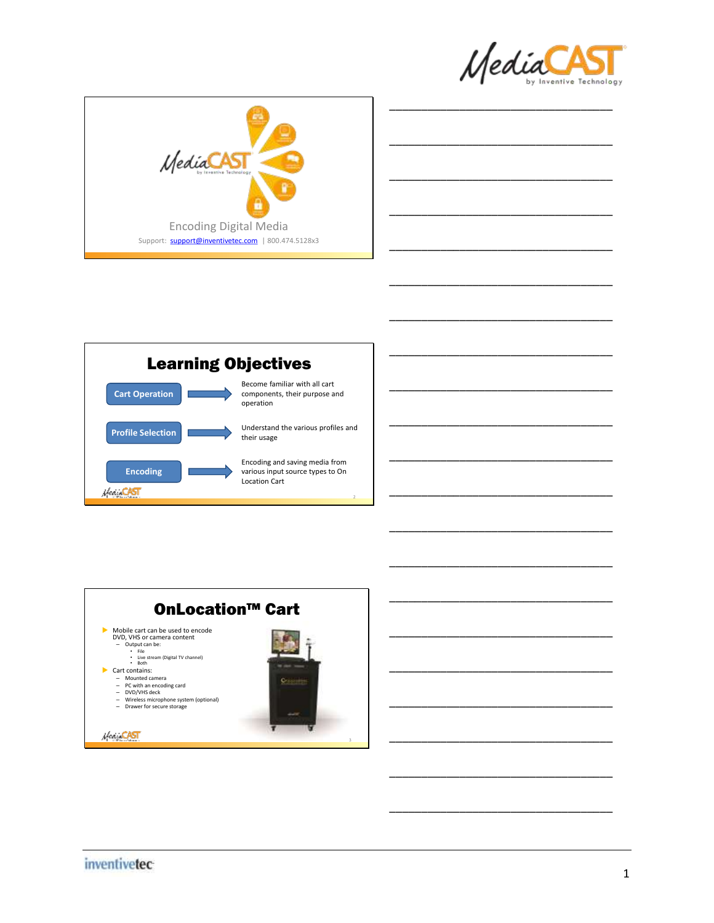

\_\_\_\_\_\_\_\_\_\_\_\_\_\_\_\_\_\_\_\_\_\_\_\_\_\_\_\_\_\_\_\_\_\_\_

\_\_\_\_\_\_\_\_\_\_\_\_\_\_\_\_\_\_\_\_\_\_\_\_\_\_\_\_\_\_\_\_\_\_\_

\_\_\_\_\_\_\_\_\_\_\_\_\_\_\_\_\_\_\_\_\_\_\_\_\_\_\_\_\_\_\_\_\_\_\_

\_\_\_\_\_\_\_\_\_\_\_\_\_\_\_\_\_\_\_\_\_\_\_\_\_\_\_\_\_\_\_\_\_\_\_

\_\_\_\_\_\_\_\_\_\_\_\_\_\_\_\_\_\_\_\_\_\_\_\_\_\_\_\_\_\_\_\_\_\_\_

\_\_\_\_\_\_\_\_\_\_\_\_\_\_\_\_\_\_\_\_\_\_\_\_\_\_\_\_\_\_\_\_\_\_\_

\_\_\_\_\_\_\_\_\_\_\_\_\_\_\_\_\_\_\_\_\_\_\_\_\_\_\_\_\_\_\_\_\_\_\_

\_\_\_\_\_\_\_\_\_\_\_\_\_\_\_\_\_\_\_\_\_\_\_\_\_\_\_\_\_\_\_\_\_\_\_

\_\_\_\_\_\_\_\_\_\_\_\_\_\_\_\_\_\_\_\_\_\_\_\_\_\_\_\_\_\_\_\_\_\_\_

\_\_\_\_\_\_\_\_\_\_\_\_\_\_\_\_\_\_\_\_\_\_\_\_\_\_\_\_\_\_\_\_\_\_\_

\_\_\_\_\_\_\_\_\_\_\_\_\_\_\_\_\_\_\_\_\_\_\_\_\_\_\_\_\_\_\_\_\_\_\_

\_\_\_\_\_\_\_\_\_\_\_\_\_\_\_\_\_\_\_\_\_\_\_\_\_\_\_\_\_\_\_\_\_\_\_

\_\_\_\_\_\_\_\_\_\_\_\_\_\_\_\_\_\_\_\_\_\_\_\_\_\_\_\_\_\_\_\_\_\_\_

\_\_\_\_\_\_\_\_\_\_\_\_\_\_\_\_\_\_\_\_\_\_\_\_\_\_\_\_\_\_\_\_\_\_\_

\_\_\_\_\_\_\_\_\_\_\_\_\_\_\_\_\_\_\_\_\_\_\_\_\_\_\_\_\_\_\_\_\_\_\_





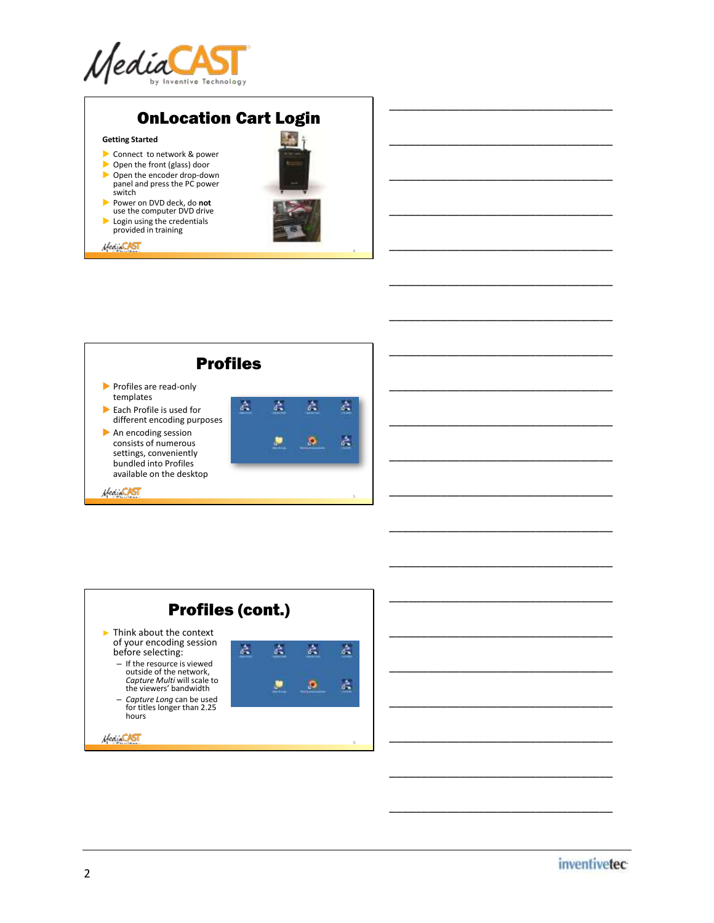

## OnLocation Cart Login

### **Getting Started**

- Connect to network & power
- Open the front (glass) door ▶ Open the encoder drop-down panel and press the PC power
- switch Power on DVD deck, do **not**
- use the computer DVD drive
- Login using the credentials provided in training

Hear CAST



4

\_\_\_\_\_\_\_\_\_\_\_\_\_\_\_\_\_\_\_\_\_\_\_\_\_\_\_\_\_\_\_\_\_\_\_

\_\_\_\_\_\_\_\_\_\_\_\_\_\_\_\_\_\_\_\_\_\_\_\_\_\_\_\_\_\_\_\_\_\_\_

\_\_\_\_\_\_\_\_\_\_\_\_\_\_\_\_\_\_\_\_\_\_\_\_\_\_\_\_\_\_\_\_\_\_\_

\_\_\_\_\_\_\_\_\_\_\_\_\_\_\_\_\_\_\_\_\_\_\_\_\_\_\_\_\_\_\_\_\_\_\_

\_\_\_\_\_\_\_\_\_\_\_\_\_\_\_\_\_\_\_\_\_\_\_\_\_\_\_\_\_\_\_\_\_\_\_

\_\_\_\_\_\_\_\_\_\_\_\_\_\_\_\_\_\_\_\_\_\_\_\_\_\_\_\_\_\_\_\_\_\_\_

\_\_\_\_\_\_\_\_\_\_\_\_\_\_\_\_\_\_\_\_\_\_\_\_\_\_\_\_\_\_\_\_\_\_\_

\_\_\_\_\_\_\_\_\_\_\_\_\_\_\_\_\_\_\_\_\_\_\_\_\_\_\_\_\_\_\_\_\_\_\_

\_\_\_\_\_\_\_\_\_\_\_\_\_\_\_\_\_\_\_\_\_\_\_\_\_\_\_\_\_\_\_\_\_\_\_

\_\_\_\_\_\_\_\_\_\_\_\_\_\_\_\_\_\_\_\_\_\_\_\_\_\_\_\_\_\_\_\_\_\_\_

\_\_\_\_\_\_\_\_\_\_\_\_\_\_\_\_\_\_\_\_\_\_\_\_\_\_\_\_\_\_\_\_\_\_\_

\_\_\_\_\_\_\_\_\_\_\_\_\_\_\_\_\_\_\_\_\_\_\_\_\_\_\_\_\_\_\_\_\_\_\_

\_\_\_\_\_\_\_\_\_\_\_\_\_\_\_\_\_\_\_\_\_\_\_\_\_\_\_\_\_\_\_\_\_\_\_

\_\_\_\_\_\_\_\_\_\_\_\_\_\_\_\_\_\_\_\_\_\_\_\_\_\_\_\_\_\_\_\_\_\_\_

\_\_\_\_\_\_\_\_\_\_\_\_\_\_\_\_\_\_\_\_\_\_\_\_\_\_\_\_\_\_\_\_\_\_\_

\_\_\_\_\_\_\_\_\_\_\_\_\_\_\_\_\_\_\_\_\_\_\_\_\_\_\_\_\_\_\_\_\_\_\_

\_\_\_\_\_\_\_\_\_\_\_\_\_\_\_\_\_\_\_\_\_\_\_\_\_\_\_\_\_\_\_\_\_\_\_

\_\_\_\_\_\_\_\_\_\_\_\_\_\_\_\_\_\_\_\_\_\_\_\_\_\_\_\_\_\_\_\_\_\_\_

\_\_\_\_\_\_\_\_\_\_\_\_\_\_\_\_\_\_\_\_\_\_\_\_\_\_\_\_\_\_\_\_\_\_\_

\_\_\_\_\_\_\_\_\_\_\_\_\_\_\_\_\_\_\_\_\_\_\_\_\_\_\_\_\_\_\_\_\_\_\_

\_\_\_\_\_\_\_\_\_\_\_\_\_\_\_\_\_\_\_\_\_\_\_\_\_\_\_\_\_\_\_\_\_\_\_





*inventivetec*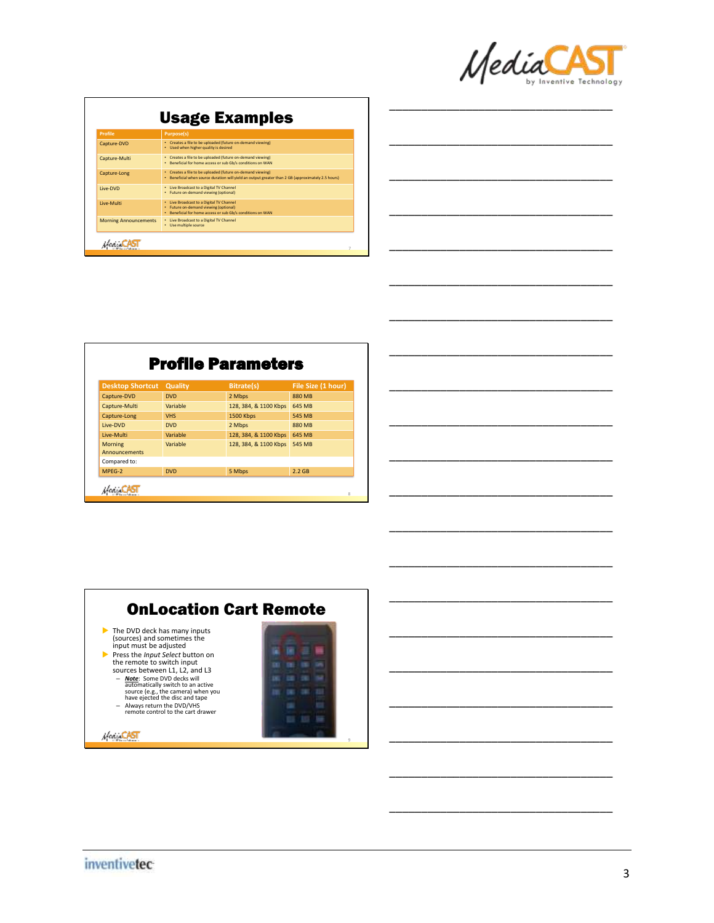

\_\_\_\_\_\_\_\_\_\_\_\_\_\_\_\_\_\_\_\_\_\_\_\_\_\_\_\_\_\_\_\_\_\_\_

\_\_\_\_\_\_\_\_\_\_\_\_\_\_\_\_\_\_\_\_\_\_\_\_\_\_\_\_\_\_\_\_\_\_\_

\_\_\_\_\_\_\_\_\_\_\_\_\_\_\_\_\_\_\_\_\_\_\_\_\_\_\_\_\_\_\_\_\_\_\_

\_\_\_\_\_\_\_\_\_\_\_\_\_\_\_\_\_\_\_\_\_\_\_\_\_\_\_\_\_\_\_\_\_\_\_

\_\_\_\_\_\_\_\_\_\_\_\_\_\_\_\_\_\_\_\_\_\_\_\_\_\_\_\_\_\_\_\_\_\_\_

\_\_\_\_\_\_\_\_\_\_\_\_\_\_\_\_\_\_\_\_\_\_\_\_\_\_\_\_\_\_\_\_\_\_\_

\_\_\_\_\_\_\_\_\_\_\_\_\_\_\_\_\_\_\_\_\_\_\_\_\_\_\_\_\_\_\_\_\_\_\_

\_\_\_\_\_\_\_\_\_\_\_\_\_\_\_\_\_\_\_\_\_\_\_\_\_\_\_\_\_\_\_\_\_\_\_

\_\_\_\_\_\_\_\_\_\_\_\_\_\_\_\_\_\_\_\_\_\_\_\_\_\_\_\_\_\_\_\_\_\_\_

\_\_\_\_\_\_\_\_\_\_\_\_\_\_\_\_\_\_\_\_\_\_\_\_\_\_\_\_\_\_\_\_\_\_\_

\_\_\_\_\_\_\_\_\_\_\_\_\_\_\_\_\_\_\_\_\_\_\_\_\_\_\_\_\_\_\_\_\_\_\_

\_\_\_\_\_\_\_\_\_\_\_\_\_\_\_\_\_\_\_\_\_\_\_\_\_\_\_\_\_\_\_\_\_\_\_

\_\_\_\_\_\_\_\_\_\_\_\_\_\_\_\_\_\_\_\_\_\_\_\_\_\_\_\_\_\_\_\_\_\_\_

\_\_\_\_\_\_\_\_\_\_\_\_\_\_\_\_\_\_\_\_\_\_\_\_\_\_\_\_\_\_\_\_\_\_\_

\_\_\_\_\_\_\_\_\_\_\_\_\_\_\_\_\_\_\_\_\_\_\_\_\_\_\_\_\_\_\_\_\_\_\_

\_\_\_\_\_\_\_\_\_\_\_\_\_\_\_\_\_\_\_\_\_\_\_\_\_\_\_\_\_\_\_\_\_\_\_

\_\_\_\_\_\_\_\_\_\_\_\_\_\_\_\_\_\_\_\_\_\_\_\_\_\_\_\_\_\_\_\_\_\_\_

\_\_\_\_\_\_\_\_\_\_\_\_\_\_\_\_\_\_\_\_\_\_\_\_\_\_\_\_\_\_\_\_\_\_\_

\_\_\_\_\_\_\_\_\_\_\_\_\_\_\_\_\_\_\_\_\_\_\_\_\_\_\_\_\_\_\_\_\_\_\_

\_\_\_\_\_\_\_\_\_\_\_\_\_\_\_\_\_\_\_\_\_\_\_\_\_\_\_\_\_\_\_\_\_\_\_

| <b>Usage Examples</b> |
|-----------------------|
|                       |

| <b>Profile</b>               | <b>Purpose(s)</b>                                                                                                                                                |
|------------------------------|------------------------------------------------------------------------------------------------------------------------------------------------------------------|
| Capture-DVD                  | • Creates a file to be uploaded (future on-demand viewing)<br>. Used when higher quality is desired                                                              |
| Capture-Multi                | • Creates a file to be uploaded (future on-demand viewing)<br>. Beneficial for home access or sub Gb/s conditions on WAN                                         |
| Capture-Long                 | • Creates a file to be uploaded (future on-demand viewing)<br>. Beneficial when source duration will yield an output greater than 2 GB (approximately 2.5 hours) |
| Live-DVD                     | • Live Broadcast to a Digital TV Channel<br>• Future on-demand viewing (optional)                                                                                |
| Live-Multi                   | • Live Broadcast to a Digital TV Channel<br>• Future on-demand viewing (optional)<br>• Beneficial for home access or sub Gb/s conditions on WAN                  |
| <b>Morning Announcements</b> | • Live Broadcast to a Digital TV Channel<br>• Use multiple source                                                                                                |

| <b>Desktop Shortcut</b>                | Quality    | <b>Bitrate(s)</b>     | File Size (1 hour) |  |
|----------------------------------------|------------|-----------------------|--------------------|--|
| Capture-DVD                            | <b>DVD</b> | 2 Mbps                | <b>880 MB</b>      |  |
| Capture-Multi                          | Variable   | 128, 384, & 1100 Kbps | 645 MB             |  |
| Capture-Long                           | <b>VHS</b> | <b>1500 Kbps</b>      | 545 MB             |  |
| Live-DVD                               | <b>DVD</b> | 2 Mbps                | 880 MB             |  |
| Live-Multi                             | Variable   | 128, 384, & 1100 Kbps | 645 MB             |  |
| <b>Morning</b><br><b>Announcements</b> | Variable   | 128, 384, & 1100 Kbps | 545 MB             |  |
| Compared to:                           |            |                       |                    |  |
| MPEG-2                                 | <b>DVD</b> | 5 Mbps                | $2.2$ GB           |  |

|                                                                                                                                                                                                                                                                                                                                                                                                                  | <b>OnLocation Cart Remote</b> |
|------------------------------------------------------------------------------------------------------------------------------------------------------------------------------------------------------------------------------------------------------------------------------------------------------------------------------------------------------------------------------------------------------------------|-------------------------------|
| The DVD deck has many inputs<br>(sources) and sometimes the<br>input must be adjusted<br>Press the <i>Input Select</i> button on<br>the remote to switch input<br>sources between L1, L2, and L3<br>- Note: Some DVD decks will<br>automatically switch to an active<br>source (e.g., the camera) when you<br>have ejected the disc and tape<br>- Always return the DVD/VHS<br>remote control to the cart drawer |                               |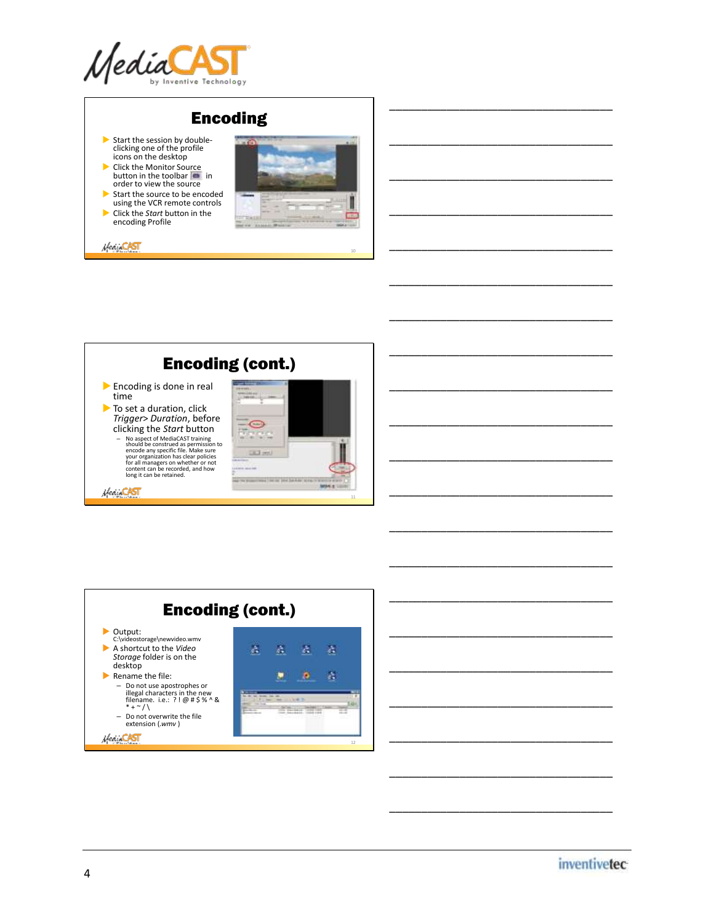

# Encoding

- Start the session by double-clicking one of the profile icons on the desktop
- ▶ Click the Monitor Source<br>button in the toolbar order to view the source
- Start the source to be encoded using the VCR remote controls Click the *Start* button in the encoding Profile

Hea CAST

Veget CAST



10

11



Encoding (cont.) Output: C:\videostorage\newvideo.wmv A shortcut to the *Video*  å, A  $\Delta$  $\Delta$ *Storage* folder is on the desktop ٠  $\bullet$  $\Delta$ Rename the file: - Do not use apostrophes or<br>illegal characters in the new<br>filename. i.e.: ?! @ # \$ % ^ &<br>\* + ~ / \ **SERVICE THING** – Do not overwrite the file extension (*.wmv* ) Hear CAST 12



\_\_\_\_\_\_\_\_\_\_\_\_\_\_\_\_\_\_\_\_\_\_\_\_\_\_\_\_\_\_\_\_\_\_\_

\_\_\_\_\_\_\_\_\_\_\_\_\_\_\_\_\_\_\_\_\_\_\_\_\_\_\_\_\_\_\_\_\_\_\_

\_\_\_\_\_\_\_\_\_\_\_\_\_\_\_\_\_\_\_\_\_\_\_\_\_\_\_\_\_\_\_\_\_\_\_

\_\_\_\_\_\_\_\_\_\_\_\_\_\_\_\_\_\_\_\_\_\_\_\_\_\_\_\_\_\_\_\_\_\_\_

\_\_\_\_\_\_\_\_\_\_\_\_\_\_\_\_\_\_\_\_\_\_\_\_\_\_\_\_\_\_\_\_\_\_\_

\_\_\_\_\_\_\_\_\_\_\_\_\_\_\_\_\_\_\_\_\_\_\_\_\_\_\_\_\_\_\_\_\_\_\_

\_\_\_\_\_\_\_\_\_\_\_\_\_\_\_\_\_\_\_\_\_\_\_\_\_\_\_\_\_\_\_\_\_\_\_

\_\_\_\_\_\_\_\_\_\_\_\_\_\_\_\_\_\_\_\_\_\_\_\_\_\_\_\_\_\_\_\_\_\_\_

\_\_\_\_\_\_\_\_\_\_\_\_\_\_\_\_\_\_\_\_\_\_\_\_\_\_\_\_\_\_\_\_\_\_\_

\_\_\_\_\_\_\_\_\_\_\_\_\_\_\_\_\_\_\_\_\_\_\_\_\_\_\_\_\_\_\_\_\_\_\_

\_\_\_\_\_\_\_\_\_\_\_\_\_\_\_\_\_\_\_\_\_\_\_\_\_\_\_\_\_\_\_\_\_\_\_

\_\_\_\_\_\_\_\_\_\_\_\_\_\_\_\_\_\_\_\_\_\_\_\_\_\_\_\_\_\_\_\_\_\_\_

\_\_\_\_\_\_\_\_\_\_\_\_\_\_\_\_\_\_\_\_\_\_\_\_\_\_\_\_\_\_\_\_\_\_\_

\_\_\_\_\_\_\_\_\_\_\_\_\_\_\_\_\_\_\_\_\_\_\_\_\_\_\_\_\_\_\_\_\_\_\_

\_\_\_\_\_\_\_\_\_\_\_\_\_\_\_\_\_\_\_\_\_\_\_\_\_\_\_\_\_\_\_\_\_\_\_

\_\_\_\_\_\_\_\_\_\_\_\_\_\_\_\_\_\_\_\_\_\_\_\_\_\_\_\_\_\_\_\_\_\_\_

\_\_\_\_\_\_\_\_\_\_\_\_\_\_\_\_\_\_\_\_\_\_\_\_\_\_\_\_\_\_\_\_\_\_\_

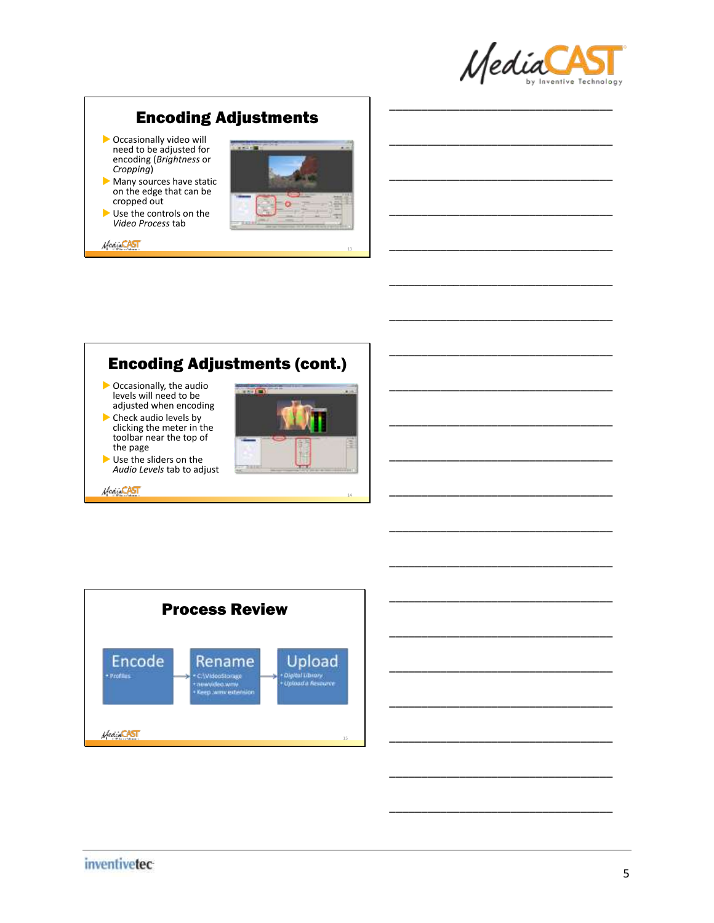

\_\_\_\_\_\_\_\_\_\_\_\_\_\_\_\_\_\_\_\_\_\_\_\_\_\_\_\_\_\_\_\_\_\_\_

\_\_\_\_\_\_\_\_\_\_\_\_\_\_\_\_\_\_\_\_\_\_\_\_\_\_\_\_\_\_\_\_\_\_\_

\_\_\_\_\_\_\_\_\_\_\_\_\_\_\_\_\_\_\_\_\_\_\_\_\_\_\_\_\_\_\_\_\_\_\_

\_\_\_\_\_\_\_\_\_\_\_\_\_\_\_\_\_\_\_\_\_\_\_\_\_\_\_\_\_\_\_\_\_\_\_

\_\_\_\_\_\_\_\_\_\_\_\_\_\_\_\_\_\_\_\_\_\_\_\_\_\_\_\_\_\_\_\_\_\_\_

\_\_\_\_\_\_\_\_\_\_\_\_\_\_\_\_\_\_\_\_\_\_\_\_\_\_\_\_\_\_\_\_\_\_\_

\_\_\_\_\_\_\_\_\_\_\_\_\_\_\_\_\_\_\_\_\_\_\_\_\_\_\_\_\_\_\_\_\_\_\_

\_\_\_\_\_\_\_\_\_\_\_\_\_\_\_\_\_\_\_\_\_\_\_\_\_\_\_\_\_\_\_\_\_\_\_

\_\_\_\_\_\_\_\_\_\_\_\_\_\_\_\_\_\_\_\_\_\_\_\_\_\_\_\_\_\_\_\_\_\_\_

\_\_\_\_\_\_\_\_\_\_\_\_\_\_\_\_\_\_\_\_\_\_\_\_\_\_\_\_\_\_\_\_\_\_\_

\_\_\_\_\_\_\_\_\_\_\_\_\_\_\_\_\_\_\_\_\_\_\_\_\_\_\_\_\_\_\_\_\_\_\_

\_\_\_\_\_\_\_\_\_\_\_\_\_\_\_\_\_\_\_\_\_\_\_\_\_\_\_\_\_\_\_\_\_\_\_

\_\_\_\_\_\_\_\_\_\_\_\_\_\_\_\_\_\_\_\_\_\_\_\_\_\_\_\_\_\_\_\_\_\_\_

\_\_\_\_\_\_\_\_\_\_\_\_\_\_\_\_\_\_\_\_\_\_\_\_\_\_\_\_\_\_\_\_\_\_\_

\_\_\_\_\_\_\_\_\_\_\_\_\_\_\_\_\_\_\_\_\_\_\_\_\_\_\_\_\_\_\_\_\_\_\_

\_\_\_\_\_\_\_\_\_\_\_\_\_\_\_\_\_\_\_\_\_\_\_\_\_\_\_\_\_\_\_\_\_\_\_

\_\_\_\_\_\_\_\_\_\_\_\_\_\_\_\_\_\_\_\_\_\_\_\_\_\_\_\_\_\_\_\_\_\_\_

\_\_\_\_\_\_\_\_\_\_\_\_\_\_\_\_\_\_\_\_\_\_\_\_\_\_\_\_\_\_\_\_\_\_\_

\_\_\_\_\_\_\_\_\_\_\_\_\_\_\_\_\_\_\_\_\_\_\_\_\_\_\_\_\_\_\_\_\_\_\_

\_\_\_\_\_\_\_\_\_\_\_\_\_\_\_\_\_\_\_\_\_\_\_\_\_\_\_\_\_\_\_\_\_\_\_

## Encoding Adjustments

- **Decasionally video will** need to be adjusted for encoding (*Brightness* or *Cropping*)
- Many sources have static on the edge that can be cropped out
- Use the controls on the *Video Process* tab

MeanCAST



## Encoding Adjustments (cont.)

- Occasionally, the audio levels will need to be adjusted when encoding
- Check audio levels by clicking the meter in the toolbar near the top of the page
- Use the sliders on the *Audio Levels* tab to adjust

Hear CAST



14



## *inventivetec*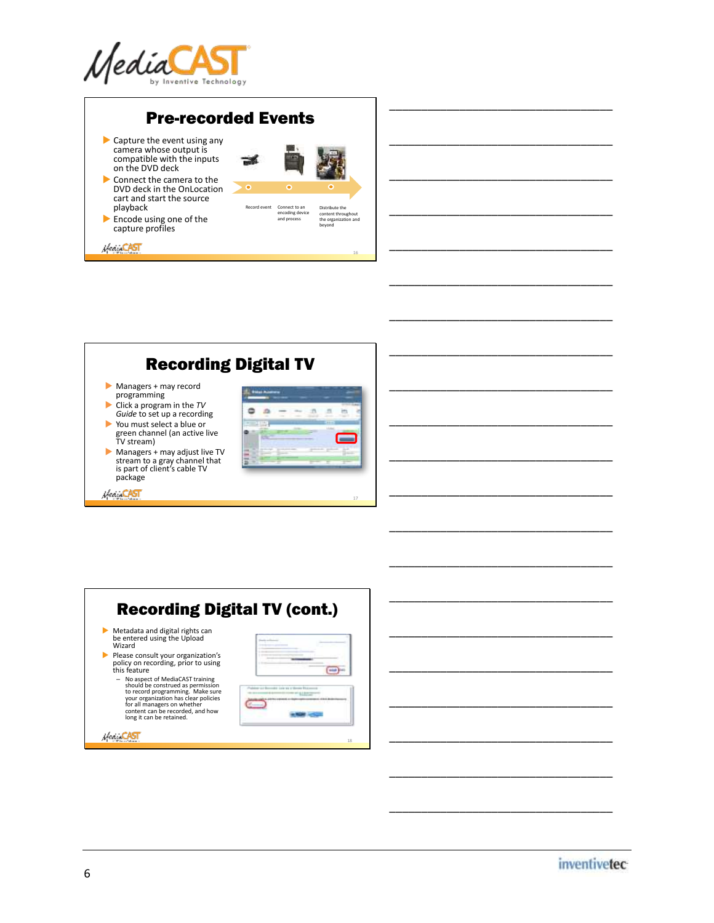

## Pre-recorded Events

ゴ

 $\bullet$ 

- Capture the event using any camera whose output is compatible with the inputs on the DVD deck
- Connect the camera to the DVD deck in the OnLocation cart and start the source playback
- Encode using one of the capture profiles

Heart CAST



### encoding device and process Distribute the content throughout the organization and beyond

16

\_\_\_\_\_\_\_\_\_\_\_\_\_\_\_\_\_\_\_\_\_\_\_\_\_\_\_\_\_\_\_\_\_\_\_

\_\_\_\_\_\_\_\_\_\_\_\_\_\_\_\_\_\_\_\_\_\_\_\_\_\_\_\_\_\_\_\_\_\_\_

\_\_\_\_\_\_\_\_\_\_\_\_\_\_\_\_\_\_\_\_\_\_\_\_\_\_\_\_\_\_\_\_\_\_\_

\_\_\_\_\_\_\_\_\_\_\_\_\_\_\_\_\_\_\_\_\_\_\_\_\_\_\_\_\_\_\_\_\_\_\_

\_\_\_\_\_\_\_\_\_\_\_\_\_\_\_\_\_\_\_\_\_\_\_\_\_\_\_\_\_\_\_\_\_\_\_

\_\_\_\_\_\_\_\_\_\_\_\_\_\_\_\_\_\_\_\_\_\_\_\_\_\_\_\_\_\_\_\_\_\_\_

\_\_\_\_\_\_\_\_\_\_\_\_\_\_\_\_\_\_\_\_\_\_\_\_\_\_\_\_\_\_\_\_\_\_\_

\_\_\_\_\_\_\_\_\_\_\_\_\_\_\_\_\_\_\_\_\_\_\_\_\_\_\_\_\_\_\_\_\_\_\_

\_\_\_\_\_\_\_\_\_\_\_\_\_\_\_\_\_\_\_\_\_\_\_\_\_\_\_\_\_\_\_\_\_\_\_

\_\_\_\_\_\_\_\_\_\_\_\_\_\_\_\_\_\_\_\_\_\_\_\_\_\_\_\_\_\_\_\_\_\_\_

\_\_\_\_\_\_\_\_\_\_\_\_\_\_\_\_\_\_\_\_\_\_\_\_\_\_\_\_\_\_\_\_\_\_\_

\_\_\_\_\_\_\_\_\_\_\_\_\_\_\_\_\_\_\_\_\_\_\_\_\_\_\_\_\_\_\_\_\_\_\_

\_\_\_\_\_\_\_\_\_\_\_\_\_\_\_\_\_\_\_\_\_\_\_\_\_\_\_\_\_\_\_\_\_\_\_

\_\_\_\_\_\_\_\_\_\_\_\_\_\_\_\_\_\_\_\_\_\_\_\_\_\_\_\_\_\_\_\_\_\_\_

\_\_\_\_\_\_\_\_\_\_\_\_\_\_\_\_\_\_\_\_\_\_\_\_\_\_\_\_\_\_\_\_\_\_\_

\_\_\_\_\_\_\_\_\_\_\_\_\_\_\_\_\_\_\_\_\_\_\_\_\_\_\_\_\_\_\_\_\_\_\_

#### \_\_\_\_\_\_\_\_\_\_\_\_\_\_\_\_\_\_\_\_\_\_\_\_\_\_\_\_\_\_\_\_\_\_\_ Recording Digital TV \_\_\_\_\_\_\_\_\_\_\_\_\_\_\_\_\_\_\_\_\_\_\_\_\_\_\_\_\_\_\_\_\_\_\_ Managers + may record programming Click a program in the *TV*  ۰ ini. it)  $\equiv$ in *Guide* to set up a recording \_\_\_\_\_\_\_\_\_\_\_\_\_\_\_\_\_\_\_\_\_\_\_\_\_\_\_\_\_\_\_\_\_\_\_ You must select a blue or ۰ green channel (an active live TV stream) г  $\blacktriangleright$  Managers + may adjust live TV \_\_\_\_\_\_\_\_\_\_\_\_\_\_\_\_\_\_\_\_\_\_\_\_\_\_\_\_\_\_\_\_\_\_\_ stream to a gray channel that is part of client's cable TV package \_\_\_\_\_\_\_\_\_\_\_\_\_\_\_\_\_\_\_\_\_\_\_\_\_\_\_\_\_\_\_\_\_\_\_ Hear CAST 17

| <b>Recording Digital TV (cont.)</b>                                                                                                                                                                                                               |  |
|---------------------------------------------------------------------------------------------------------------------------------------------------------------------------------------------------------------------------------------------------|--|
| Metadata and digital rights can<br>be entered using the Upload<br>Wizard                                                                                                                                                                          |  |
| Please consult your organization's<br>policy on recording, prior to using<br>this feature                                                                                                                                                         |  |
| - No aspect of MediaCAST training<br>should be construed as permission<br>to record programming. Make sure<br>your organization has clear policies<br>for all managers on whether<br>content can be recorded, and how<br>long it can be retained. |  |